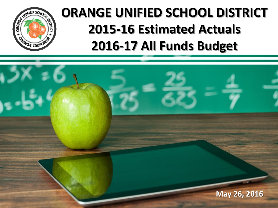

## **ORANGE UNIFIED SCHOOL DISTRICT 2015-16 Estimated Actuals 2016-17 All Funds Budget**

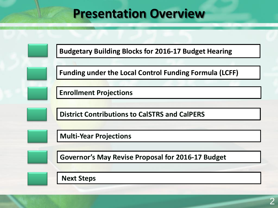### **Presentation Overview**

**Budgetary Building Blocks for 2016-17 Budget Hearing**

**Funding under the Local Control Funding Formula (LCFF)**

**Enrollment Projections**

**District Contributions to CalSTRS and CalPERS**

**Multi-Year Projections**

**Governor's May Revise Proposal for 2016-17 Budget** 

**Next Steps**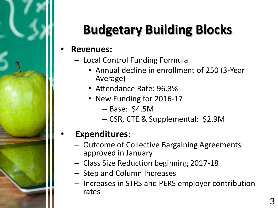

# **Budgetary Building Blocks**

#### • **Revenues:**

- Local Control Funding Formula
	- Annual decline in enrollment of 250 (3-Year Average)
	- Attendance Rate: 96.3%
	- New Funding for 2016-17
		- Base: \$4.5M
		- CSR, CTE & Supplemental: \$2.9M

### • **Expenditures:**

- Outcome of Collective Bargaining Agreements approved in January
- Class Size Reduction beginning 2017-18
- Step and Column Increases
- Increases in STRS and PERS employer contribution rates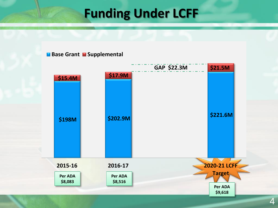## **Funding Under LCFF**

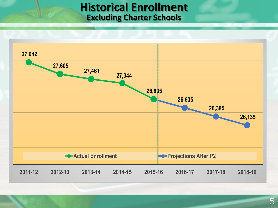#### **Historical Enrollment Excluding Charter Schools**

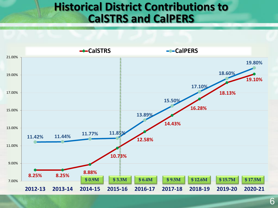### **Historical District Contributions to CalSTRS and CalPERS**

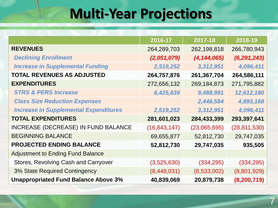## **Multi-Year Projections**

|                                              | 2016-17        | 2017-18       | 2018-19        |
|----------------------------------------------|----------------|---------------|----------------|
| <b>REVENUES</b>                              | 264,289,703    | 262,198,818   | 266,780,943    |
| <b>Declining Enrollment</b>                  | (2,051,079)    | (4, 144, 065) | (6, 291, 243)  |
| <b>Increase in Supplemental Funding</b>      | 2,519,252      | 3,312,951     | 4,096,411      |
| <b>TOTAL REVENUES AS ADJUSTED</b>            | 264,757,876    | 261,367,704   | 264,586,111    |
| <b>EXPENDITURES</b>                          | 272,656,132    | 269,184,873   | 271,795,882    |
| <b>STRS &amp; PERS Increase</b>              | 6,425,639      | 9,488,991     | 12,612,180     |
| <b>Class Size Reduction Expenses</b>         |                | 2,446,584     | 4,893,168      |
| <b>Increase in Supplemental Expenditures</b> | 2,519,252      | 3,312,951     | 4,096,411      |
| <b>TOTAL EXPENDITURES</b>                    | 281,601,023    | 284,433,399   | 293,397,641    |
| INCREASE (DECREASE) IN FUND BALANCE          | (16, 843, 147) | (23,065,695)  | (28, 811, 530) |
| <b>BEGINNING BALANCE</b>                     | 69,655,877     | 52,812,730    | 29,747,035     |
| <b>PROJECTED ENDING BALANCE</b>              | 52,812,730     | 29,747,035    | 935,505        |
| <b>Adjustment to Ending Fund Balance</b>     |                |               |                |
| Stores, Revolving Cash and Carryover         | (3,525,630)    | (334, 295)    | (334, 295)     |
| 3% State Required Contingency                | (8,448,031)    | (8,533,002)   | (8,801,929)    |
| <b>Unappropriated Fund Balance Above 3%</b>  | 40,839,069     | 20,879,738    | (8, 200, 719)  |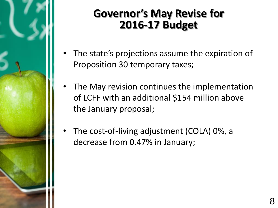

### **Governor's May Revise for 2016-17 Budget**

- The state's projections assume the expiration of Proposition 30 temporary taxes;
- The May revision continues the implementation of LCFF with an additional \$154 million above the January proposal;
- The cost-of-living adjustment (COLA) 0%, a decrease from 0.47% in January;